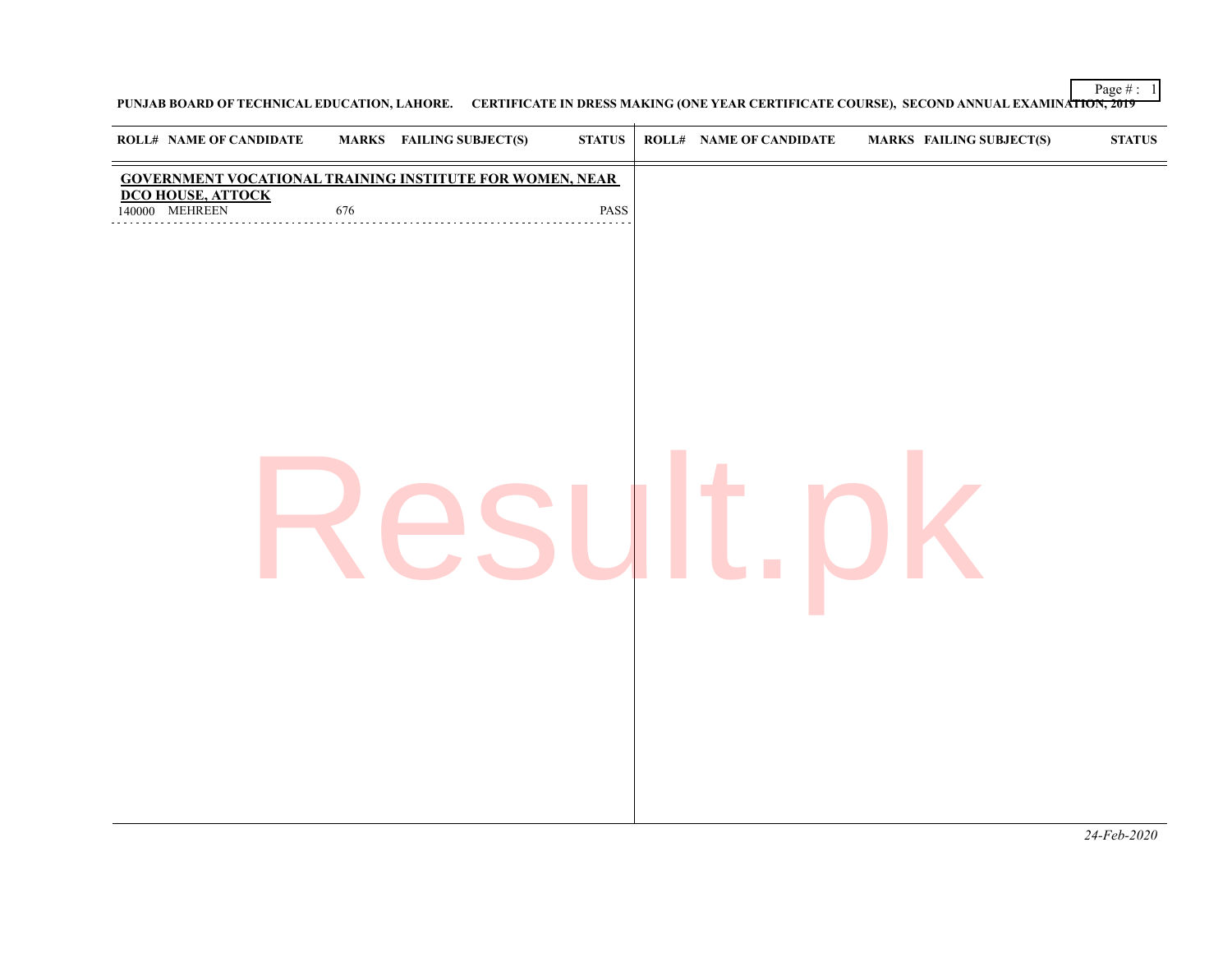Page  $\# : 1$ 

**PUNJAB BOARD OF TECHNICAL EDUCATION, LAHORE. CERTIFICATE IN DRESS MAKING (ONE YEAR CERTIFICATE COURSE), SECOND ANNUAL EXAMINATION, 2019**

| <b>ROLL# NAME OF CANDIDATE</b> |     | <b>MARKS</b> FAILING SUBJECT(S)                                 | $\bold{STATUS}$ | <b>ROLL# NAME OF CANDIDATE</b> | <b>MARKS FAILING SUBJECT(S)</b> | <b>STATUS</b> |
|--------------------------------|-----|-----------------------------------------------------------------|-----------------|--------------------------------|---------------------------------|---------------|
| <b>DCO HOUSE, ATTOCK</b>       |     | <b>GOVERNMENT VOCATIONAL TRAINING INSTITUTE FOR WOMEN, NEAR</b> |                 |                                |                                 |               |
| 140000 MEHREEN<br>.            | 676 |                                                                 | PASS            |                                |                                 |               |
|                                |     |                                                                 |                 |                                |                                 |               |
|                                |     |                                                                 |                 |                                |                                 |               |
|                                |     |                                                                 |                 |                                |                                 |               |
|                                |     |                                                                 |                 |                                |                                 |               |
|                                |     |                                                                 |                 |                                |                                 |               |
|                                |     |                                                                 |                 |                                |                                 |               |
|                                |     |                                                                 |                 |                                |                                 |               |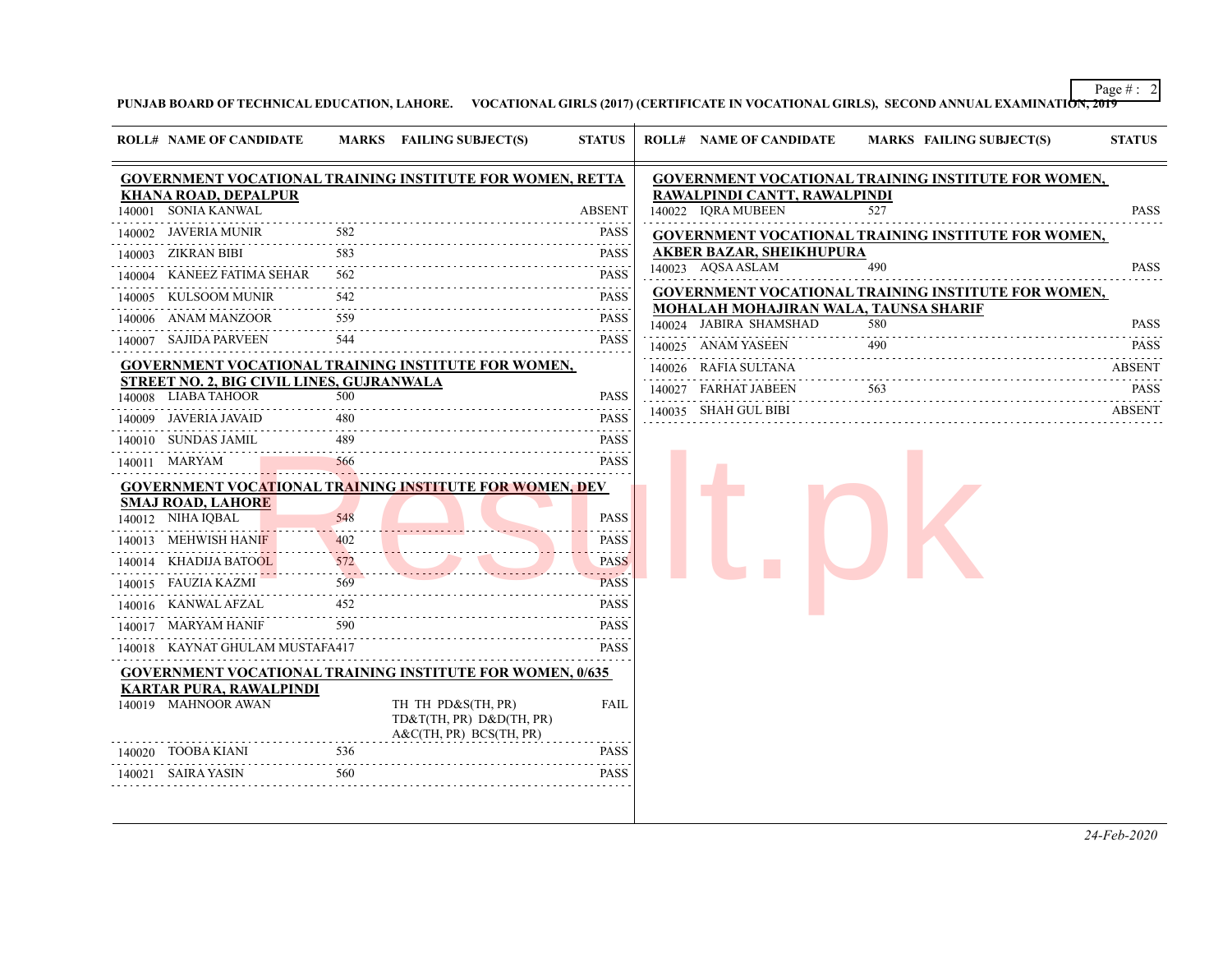Page  $\#$  : 2

**PUNJAB BOARD OF TECHNICAL EDUCATION, LAHORE. VOCATIONAL GIRLS (2017) (CERTIFICATE IN VOCATIONAL GIRLS), SECOND ANNUAL EXAMINATION, 2019**

|        | <b>ROLL# NAME OF CANDIDATE</b>                                   |     | MARKS FAILING SUBJECT(S)                                                    | <b>STATUS</b> | <b>ROLL# NAME OF CANDIDATE</b>                | <b>MARKS FAILING SUBJECT(S)</b>                            | <b>STATUS</b> |
|--------|------------------------------------------------------------------|-----|-----------------------------------------------------------------------------|---------------|-----------------------------------------------|------------------------------------------------------------|---------------|
|        |                                                                  |     | <b>GOVERNMENT VOCATIONAL TRAINING INSTITUTE FOR WOMEN, RETTA</b>            |               |                                               | <b>GOVERNMENT VOCATIONAL TRAINING INSTITUTE FOR WOMEN,</b> |               |
|        | <b>KHANA ROAD, DEPALPUR</b>                                      |     |                                                                             |               | RAWALPINDI CANTT, RAWALPINDI                  |                                                            |               |
|        | 140001 SONIA KANWAL                                              |     |                                                                             | <b>ABSENT</b> | 140022 IQRA MUBEEN                            | 527                                                        | <b>PASS</b>   |
|        | 140002 JAVERIA MUNIR                                             | 582 |                                                                             | <b>PASS</b>   |                                               | <b>GOVERNMENT VOCATIONAL TRAINING INSTITUTE FOR WOMEN,</b> |               |
|        | 140003 ZIKRAN BIBI                                               | 583 |                                                                             | <b>PASS</b>   | AKBER BAZAR, SHEIKHUPURA<br>140023 AQSA ASLAM | 490                                                        | <b>PASS</b>   |
| 140004 | KANEEZ FATIMA SEHAR                                              | 562 |                                                                             | PASS          |                                               |                                                            |               |
|        | 140005 KULSOOM MUNIR                                             | 542 |                                                                             | <b>PASS</b>   | <b>MOHALAH MOHAJIRAN WALA, TAUNSA SHARIF</b>  | <b>GOVERNMENT VOCATIONAL TRAINING INSTITUTE FOR WOMEN,</b> |               |
|        | 140006 ANAM MANZOOR                                              | 559 |                                                                             | <b>PASS</b>   | 140024 JABIRA SHAMSHAD                        | 580                                                        | <b>PASS</b>   |
|        | 140007 SAJIDA PARVEEN                                            | 544 |                                                                             | <b>PASS</b>   | 140025 ANAM YASEEN                            | 490                                                        | <b>PASS</b>   |
|        |                                                                  |     | <b>GOVERNMENT VOCATIONAL TRAINING INSTITUTE FOR WOMEN,</b>                  |               | 140026 RAFIA SULTANA                          |                                                            | ABSENT        |
|        | STREET NO. 2, BIG CIVIL LINES, GUJRANWALA<br>140008 LIABA TAHOOR | 500 |                                                                             | <b>PASS</b>   | 140027 FARHAT JABEEN                          | 563                                                        | <b>PASS</b>   |
|        | 140009 JAVERIA JAVAID                                            | 480 |                                                                             | PASS          | 140035 SHAH GUL BIBI                          |                                                            | <b>ABSENT</b> |
|        | 140010 SUNDAS JAMIL                                              | 489 |                                                                             | <b>PASS</b>   |                                               |                                                            |               |
|        | 140011 MARYAM                                                    | 566 |                                                                             | <b>PASS</b>   |                                               |                                                            |               |
|        |                                                                  |     | <b>GOVERNMENT VOCATIONAL TRAINING INSTITUTE FOR WOMEN, DEV</b>              |               |                                               |                                                            |               |
|        | SMAJ ROAD, LAHORE                                                |     |                                                                             |               |                                               |                                                            |               |
|        | 140012 NIHA IQBAL                                                | 548 |                                                                             | <b>PASS</b>   |                                               |                                                            |               |
|        | 140013 MEHWISH HANIF                                             | 402 |                                                                             | <b>PASS</b>   |                                               |                                                            |               |
|        | 140014 KHADIJA BATOOL                                            | 572 |                                                                             | <b>PASS</b>   |                                               |                                                            |               |
|        | 140015 FAUZIA KAZMI                                              | 569 |                                                                             | <b>PASS</b>   |                                               |                                                            |               |
|        | 140016 KANWAL AFZAL                                              | 452 |                                                                             | <b>PASS</b>   |                                               |                                                            |               |
|        | 140017 MARYAM HANIF                                              | 590 |                                                                             | <b>PASS</b>   |                                               |                                                            |               |
|        | 140018 KAYNAT GHULAM MUSTAFA417                                  |     |                                                                             | <b>PASS</b>   |                                               |                                                            |               |
|        |                                                                  |     | <b>GOVERNMENT VOCATIONAL TRAINING INSTITUTE FOR WOMEN, 0/635</b>            |               |                                               |                                                            |               |
|        | <b>KARTAR PURA, RAWALPINDI</b><br>140019 MAHNOOR AWAN            |     | TH TH PD&S(TH, PR)<br>TD&T(TH, PR) D&D(TH, PR)<br>$A&C(TH, PR)$ BCS(TH, PR) | FAIL          |                                               |                                                            |               |
|        | 140020 TOOBA KIANI                                               | 536 |                                                                             | <b>PASS</b>   |                                               |                                                            |               |
|        | 140021 SAIRA YASIN                                               | 560 |                                                                             | <b>PASS</b>   |                                               |                                                            |               |

*24-Feb-2020*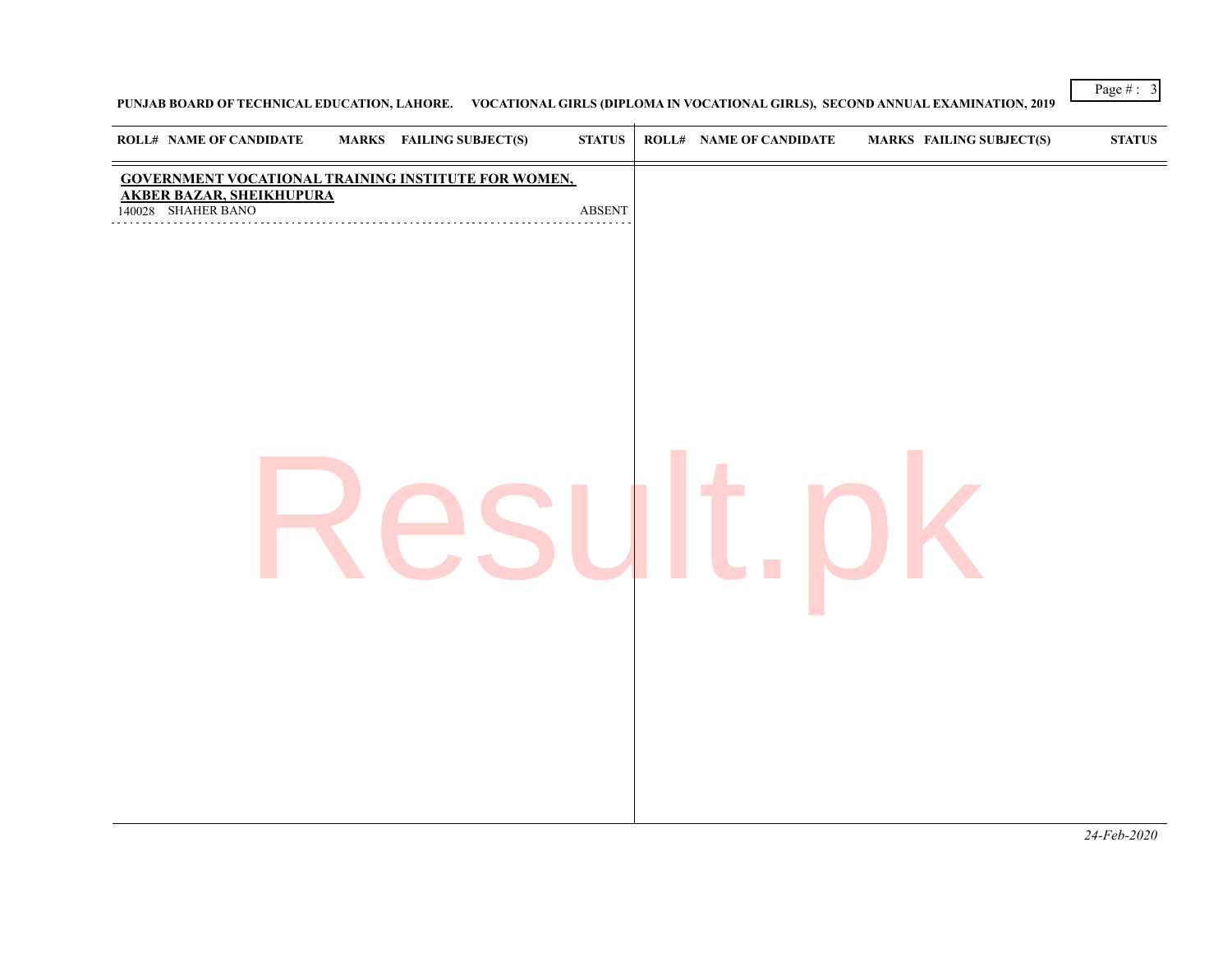## **PUNJAB BOARD OF TECHNICAL EDUCATION, LAHORE. VOCATIONAL GIRLS (DIPLOMA IN VOCATIONAL GIRLS), SECOND ANNUAL EXAMINATION, 2019**

| <b>GOVERNMENT VOCATIONAL TRAINING INSTITUTE FOR WOMEN,</b><br><b>AKBER BAZAR, SHEIKHUPURA</b><br>140028 SHAHER BANO<br><b>ABSENT</b> | <b>ROLL# NAME OF CANDIDATE</b><br>MARKS FAILING SUBJECT(S) | <b>STATUS</b> | <b>ROLL# NAME OF CANDIDATE</b> | <b>MARKS FAILING SUBJECT(S)</b> | $\boldsymbol{\mathrm{STATUS}}$ |
|--------------------------------------------------------------------------------------------------------------------------------------|------------------------------------------------------------|---------------|--------------------------------|---------------------------------|--------------------------------|
|                                                                                                                                      |                                                            |               |                                |                                 |                                |
|                                                                                                                                      |                                                            |               |                                |                                 |                                |

Page # : 3

*24-Feb-2020*